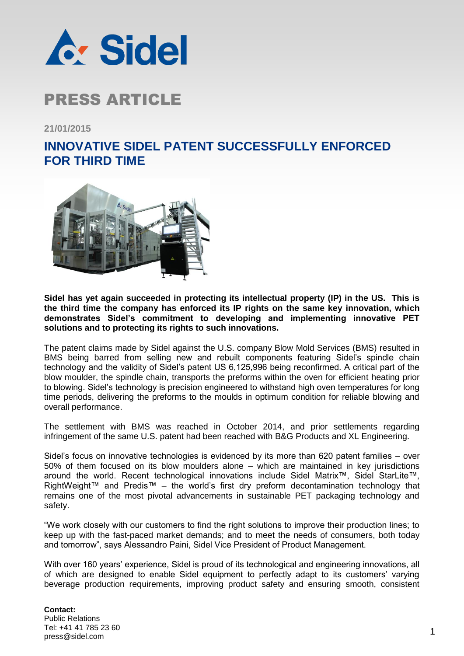

### PRESS ARTICLE

**21/01/2015**

#### **INNOVATIVE SIDEL PATENT SUCCESSFULLY ENFORCED FOR THIRD TIME**



**Sidel has yet again succeeded in protecting its intellectual property (IP) in the US. This is the third time the company has enforced its IP rights on the same key innovation, which demonstrates Sidel's commitment to developing and implementing innovative PET solutions and to protecting its rights to such innovations.** 

The patent claims made by Sidel against the U.S. company Blow Mold Services (BMS) resulted in BMS being barred from selling new and rebuilt components featuring Sidel's spindle chain technology and the validity of Sidel's patent US 6,125,996 being reconfirmed. A critical part of the blow moulder, the spindle chain, transports the preforms within the oven for efficient heating prior to blowing. Sidel's technology is precision engineered to withstand high oven temperatures for long time periods, delivering the preforms to the moulds in optimum condition for reliable blowing and overall performance.

The settlement with BMS was reached in October 2014, and prior settlements regarding infringement of the same U.S. patent had been reached with B&G Products and XL Engineering.

Sidel's focus on innovative technologies is evidenced by its more than 620 patent families – over 50% of them focused on its blow moulders alone – which are maintained in key jurisdictions around the world. Recent technological innovations include Sidel Matrix™, Sidel StarLite™, RightWeight™ and Predis™ – the world's first dry preform decontamination technology that remains one of the most pivotal advancements in sustainable PET packaging technology and safety.

"We work closely with our customers to find the right solutions to improve their production lines; to keep up with the fast-paced market demands; and to meet the needs of consumers, both today and tomorrow", says Alessandro Paini, Sidel Vice President of Product Management.

With over 160 years' experience, Sidel is proud of its technological and engineering innovations, all of which are designed to enable Sidel equipment to perfectly adapt to its customers' varying beverage production requirements, improving product safety and ensuring smooth, consistent

#### **Contact:** Public Relations Tel: +41 41 785 23 60 Tel. +41 41 765 23 60<br>press@sidel.com 1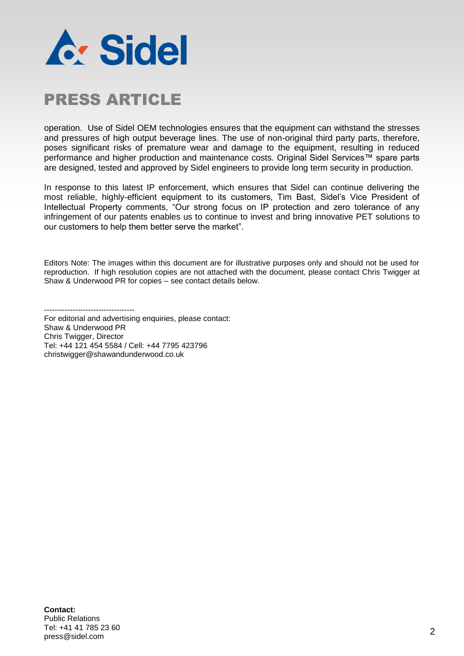

# PRESS ARTICLE

operation. Use of Sidel OEM technologies ensures that the equipment can withstand the stresses and pressures of high output beverage lines. The use of non-original third party parts, therefore, poses significant risks of premature wear and damage to the equipment, resulting in reduced performance and higher production and maintenance costs. Original Sidel Services™ spare parts are designed, tested and approved by Sidel engineers to provide long term security in production.

In response to this latest IP enforcement, which ensures that Sidel can continue delivering the most reliable, highly-efficient equipment to its customers, Tim Bast, Sidel's Vice President of Intellectual Property comments, "Our strong focus on IP protection and zero tolerance of any infringement of our patents enables us to continue to invest and bring innovative PET solutions to our customers to help them better serve the market".

Editors Note: The images within this document are for illustrative purposes only and should not be used for reproduction. If high resolution copies are not attached with the document, please contact Chris Twigger at Shaw & Underwood PR for copies – see contact details below.

-----------------------------------

For editorial and advertising enquiries, please contact: Shaw & Underwood PR Chris Twigger, Director Tel: +44 121 454 5584 / Cell: +44 7795 423796 christwigger@shawandunderwood.co.uk